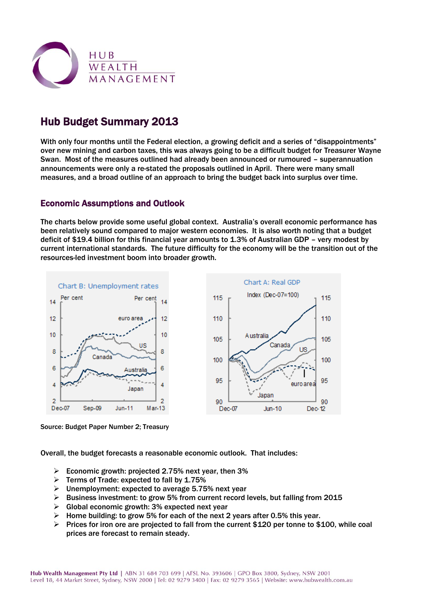

# Hub Budget Summary 2013

With only four months until the Federal election, a growing deficit and a series of "disappointments" over new mining and carbon taxes, this was always going to be a difficult budget for Treasurer Wayne Swan. Most of the measures outlined had already been announced or rumoured – superannuation announcements were only a re-stated the proposals outlined in April. There were many small measures, and a broad outline of an approach to bring the budget back into surplus over time.

# Economic Assumptions and Outlook

The charts below provide some useful global context. Australia's overall economic performance has been relatively sound compared to major western economies. It is also worth noting that a budget deficit of \$19.4 billion for this financial year amounts to 1.3% of Australian GDP – very modest by current international standards. The future difficulty for the economy will be the transition out of the resources-led investment boom into broader growth.



Source: Budget Paper Number 2; Treasury

Overall, the budget forecasts a reasonable economic outlook. That includes:

- $\triangleright$  Economic growth: projected 2.75% next year, then 3%
- $\triangleright$  Terms of Trade: expected to fall by 1.75%
- $\triangleright$  Unemployment: expected to average 5.75% next year
- $\triangleright$  Business investment: to grow 5% from current record levels, but falling from 2015
- $\triangleright$  Global economic growth: 3% expected next year
- $\triangleright$  Home building: to grow 5% for each of the next 2 years after 0.5% this year.
- Prices for iron ore are projected to fall from the current \$120 per tonne to \$100, while coal prices are forecast to remain steady.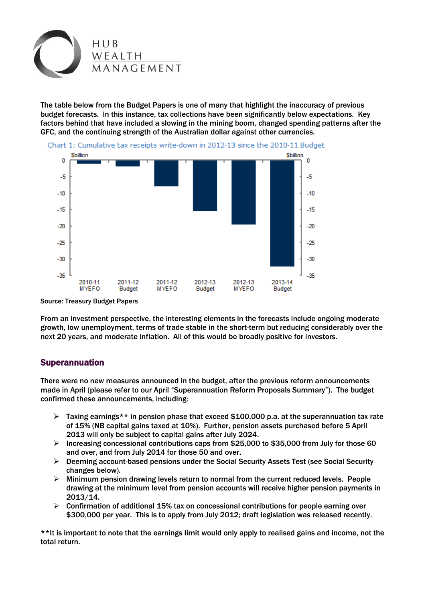

The table below from the Budget Papers is one of many that highlight the inaccuracy of previous budget forecasts. In this instance, tax collections have been significantly below expectations. Key factors behind that have included a slowing in the mining boom, changed spending patterns after the GFC, and the continuing strength of the Australian dollar against other currencies.



Source: Treasury Budget Papers

From an investment perspective, the interesting elements in the forecasts include ongoing moderate growth, low unemployment, terms of trade stable in the short-term but reducing considerably over the next 20 years, and moderate inflation. All of this would be broadly positive for investors.

# Superannuation

There were no new measures announced in the budget, after the previous reform announcements made in April (please refer to our April "Superannuation Reform Proposals Summary"). The budget confirmed these announcements, including:

- $\triangleright$  Taxing earnings\*\* in pension phase that exceed \$100,000 p.a. at the superannuation tax rate of 15% (NB capital gains taxed at 10%). Further, pension assets purchased before 5 April 2013 will only be subject to capital gains after July 2024.
- $\triangleright$  Increasing concessional contributions caps from \$25,000 to \$35,000 from July for those 60 and over, and from July 2014 for those 50 and over.
- $\triangleright$  Deeming account-based pensions under the Social Security Assets Test (see Social Security changes below).
- $\triangleright$  Minimum pension drawing levels return to normal from the current reduced levels. People drawing at the minimum level from pension accounts will receive higher pension payments in 2013/14.
- $\triangleright$  Confirmation of additional 15% tax on concessional contributions for people earning over \$300,000 per year. This is to apply from July 2012; draft legislation was released recently.

\*\*It is important to note that the earnings limit would only apply to realised gains and income, not the total return.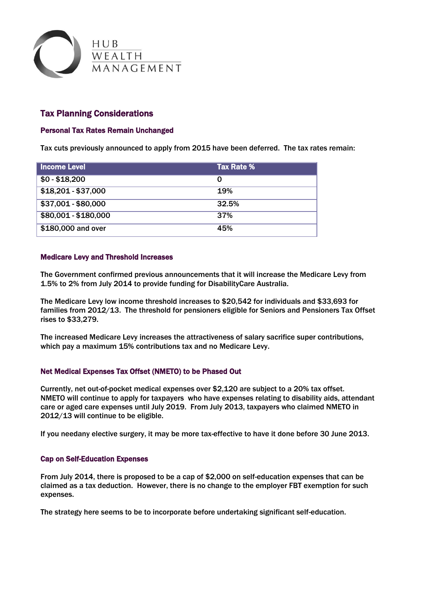

# Tax Planning Considerations

### Personal Tax Rates Remain Unchanged

Tax cuts previously announced to apply from 2015 have been deferred. The tax rates remain:

| <b>Income Level</b>  | Tax Rate % |
|----------------------|------------|
| $$0 - $18,200$       | O          |
| $$18,201 - $37,000$  | <b>19%</b> |
| \$37,001 - \$80,000  | 32.5%      |
| \$80,001 - \$180,000 | 37%        |
| \$180,000 and over   | 45%        |

### Medicare Levy and Threshold Increases

The Government confirmed previous announcements that it will increase the Medicare Levy from 1.5% to 2% from July 2014 to provide funding for DisabilityCare Australia.

The Medicare Levy low income threshold increases to \$20,542 for individuals and \$33,693 for families from 2012/13. The threshold for pensioners eligible for Seniors and Pensioners Tax Offset rises to \$33,279.

The increased Medicare Levy increases the attractiveness of salary sacrifice super contributions, which pay a maximum 15% contributions tax and no Medicare Levy.

### Net Medical Expenses Tax Offset (NMETO) to be Phased Out

Currently, net out-of-pocket medical expenses over \$2,120 are subject to a 20% tax offset. NMETO will continue to apply for taxpayers who have expenses relating to disability aids, attendant care or aged care expenses until July 2019. From July 2013, taxpayers who claimed NMETO in 2012/13 will continue to be eligible.

If you needany elective surgery, it may be more tax-effective to have it done before 30 June 2013.

### Cap on Self-Education Expenses

From July 2014, there is proposed to be a cap of \$2,000 on self-education expenses that can be claimed as a tax deduction. However, there is no change to the employer FBT exemption for such expenses.

The strategy here seems to be to incorporate before undertaking significant self-education.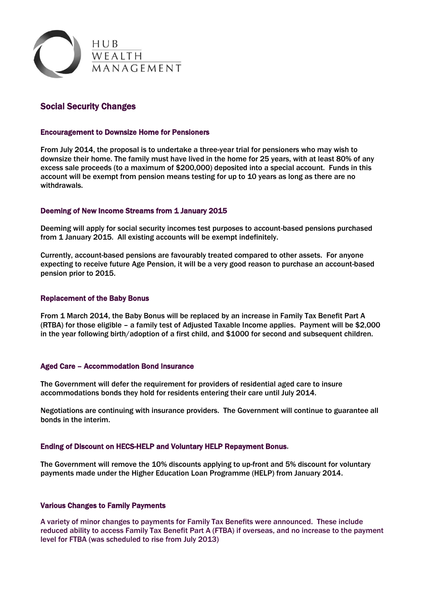

# Social Security Changes

### Encouragement to Downsize Home for Pensioners

From July 2014, the proposal is to undertake a three-year trial for pensioners who may wish to downsize their home. The family must have lived in the home for 25 years, with at least 80% of any excess sale proceeds (to a maximum of \$200,000) deposited into a special account. Funds in this account will be exempt from pension means testing for up to 10 years as long as there are no withdrawals.

#### Deeming of New Income Streams from 1 January 2015

Deeming will apply for social security incomes test purposes to account-based pensions purchased from 1 January 2015. All existing accounts will be exempt indefinitely.

Currently, account-based pensions are favourably treated compared to other assets. For anyone expecting to receive future Age Pension, it will be a very good reason to purchase an account-based pension prior to 2015.

#### Replacement of the Baby Bonus

From 1 March 2014, the Baby Bonus will be replaced by an increase in Family Tax Benefit Part A (RTBA) for those eligible – a family test of Adjusted Taxable Income applies. Payment will be \$2,000 in the year following birth/adoption of a first child, and \$1000 for second and subsequent children.

#### Aged Care – Accommodation Bond Insurance

The Government will defer the requirement for providers of residential aged care to insure accommodations bonds they hold for residents entering their care until July 2014.

Negotiations are continuing with insurance providers. The Government will continue to guarantee all bonds in the interim.

#### Ending of Discount on HECS-HELP and Voluntary HELP Repayment Bonus.

The Government will remove the 10% discounts applying to up-front and 5% discount for voluntary payments made under the Higher Education Loan Programme (HELP) from January 2014.

#### Various Changes to Family Payments

A variety of minor changes to payments for Family Tax Benefits were announced. These include reduced ability to access Family Tax Benefit Part A (FTBA) if overseas, and no increase to the payment level for FTBA (was scheduled to rise from July 2013)